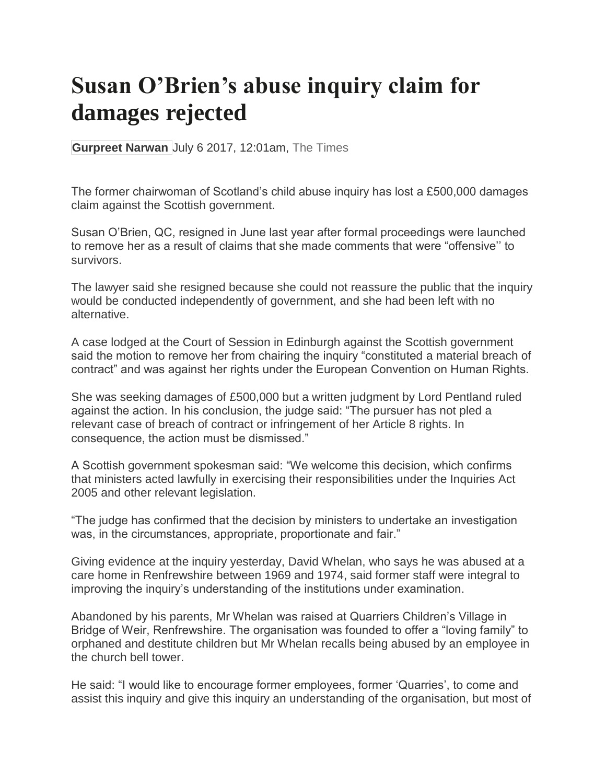## **Susan O'Brien's abuse inquiry claim for damages rejected**

**Gurpreet Narwan** July 6 2017, 12:01am, The Times

The former chairwoman of Scotland's child abuse inquiry has lost a £500,000 damages claim against the Scottish government.

Susan O'Brien, QC, resigned in June last year after formal proceedings were launched to remove her as a result of claims that she made comments that were "offensive'' to survivors.

The lawyer said she resigned because she could not reassure the public that the inquiry would be conducted independently of government, and she had been left with no alternative.

A case lodged at the Court of Session in Edinburgh against the Scottish government said the motion to remove her from chairing the inquiry "constituted a material breach of contract" and was against her rights under the European Convention on Human Rights.

She was seeking damages of £500,000 but a written judgment by Lord Pentland ruled against the action. In his conclusion, the judge said: "The pursuer has not pled a relevant case of breach of contract or infringement of her Article 8 rights. In consequence, the action must be dismissed."

A Scottish government spokesman said: "We welcome this decision, which confirms that ministers acted lawfully in exercising their responsibilities under the Inquiries Act 2005 and other relevant legislation.

"The judge has confirmed that the decision by ministers to undertake an investigation was, in the circumstances, appropriate, proportionate and fair."

Giving evidence at the inquiry yesterday, David Whelan, who says he was abused at a care home in Renfrewshire between 1969 and 1974, said former staff were integral to improving the inquiry's understanding of the institutions under examination.

Abandoned by his parents, Mr Whelan was raised at Quarriers Children's Village in Bridge of Weir, Renfrewshire. The organisation was founded to offer a "loving family" to orphaned and destitute children but Mr Whelan recalls being abused by an employee in the church bell tower.

He said: "I would like to encourage former employees, former 'Quarries', to come and assist this inquiry and give this inquiry an understanding of the organisation, but most of